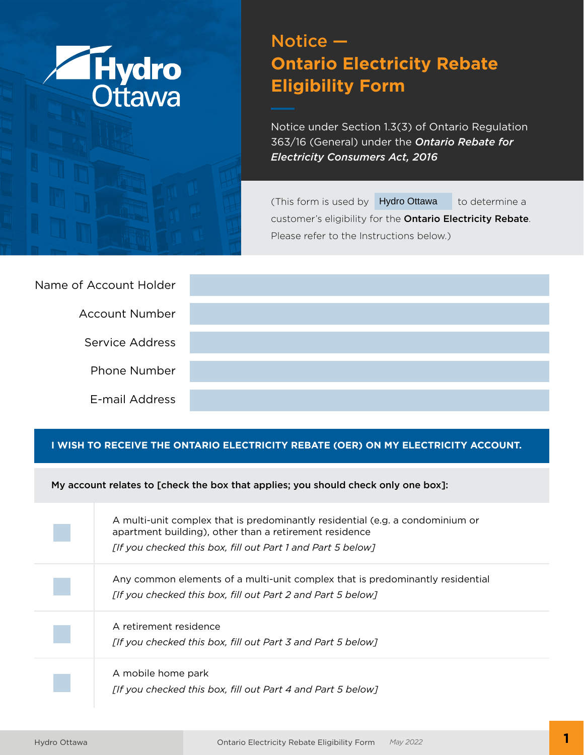

# Notice — **Ontario Electricity Rebate Eligibility Form**

Notice under Section 1.3(3) of Ontario Regulation 363/16 (General) under the *Ontario Rebate for Electricity Consumers Act, 2016*

(This form is used by Hydro Ottawa to determine a customer's eligibility for the Ontario Electricity Rebate. Please refer to the Instructions below.)

| Name of Account Holder |  |
|------------------------|--|
| <b>Account Number</b>  |  |
| Service Address        |  |
| <b>Phone Number</b>    |  |
| E-mail Address         |  |

#### **I WISH TO RECEIVE THE ONTARIO ELECTRICITY REBATE (OER) ON MY ELECTRICITY ACCOUNT.**

My account relates to [check the box that applies; you should check only one box]:

A multi-unit complex that is predominantly residential (e.g. a condominium or apartment building), other than a retirement residence *[If you checked this box, fill out Part 1 and Part 5 below]*

Any common elements of a multi-unit complex that is predominantly residential *[If you checked this box, fill out Part 2 and Part 5 below]*

A retirement residence *[If you checked this box, fill out Part 3 and Part 5 below]*

A mobile home park *[If you checked this box, fill out Part 4 and Part 5 below]*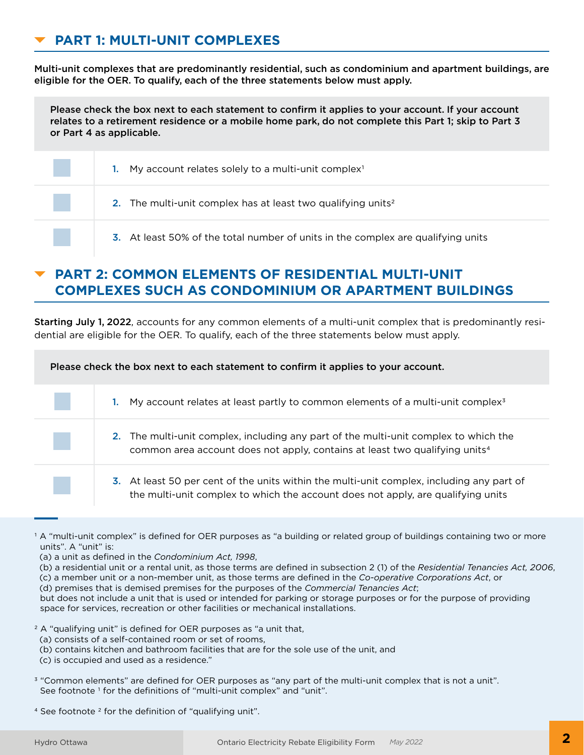# **PART 1: MULTI-UNIT COMPLEXES**

Multi-unit complexes that are predominantly residential, such as condominium and apartment buildings, are eligible for the OER. To qualify, each of the three statements below must apply.

Please check the box next to each statement to confirm it applies to your account. If your account relates to a retirement residence or a mobile home park, do not complete this Part 1; skip to Part 3 or Part 4 as applicable.

| My account relates solely to a multi-unit complex <sup>1</sup><br>1.             |
|----------------------------------------------------------------------------------|
| 2. The multi-unit complex has at least two qualifying units <sup>2</sup>         |
| 3. At least 50% of the total number of units in the complex are qualifying units |

# **PART 2: COMMON ELEMENTS OF RESIDENTIAL MULTI-UNIT COMPLEXES SUCH AS CONDOMINIUM OR APARTMENT BUILDINGS**

Starting July 1, 2022, accounts for any common elements of a multi-unit complex that is predominantly residential are eligible for the OER. To qualify, each of the three statements below must apply.

Please check the box next to each statement to confirm it applies to your account.

| My account relates at least partly to common elements of a multi-unit complex <sup>3</sup><br>1.                                                                                |
|---------------------------------------------------------------------------------------------------------------------------------------------------------------------------------|
| 2. The multi-unit complex, including any part of the multi-unit complex to which the<br>common area account does not apply, contains at least two qualifying units <sup>4</sup> |
| 3. At least 50 per cent of the units within the multi-unit complex, including any part of<br>the multi-unit complex to which the account does not apply, are qualifying units   |

- (a) a unit as defined in the *Condominium Act, 1998*,
- (b) a residential unit or a rental unit, as those terms are defined in subsection 2 (1) of the *Residential Tenancies Act, 2006*,
- (c) a member unit or a non-member unit, as those terms are defined in the *Co-operative Corporations Act*, or
- (d) premises that is demised premises for the purposes of the *Commercial Tenancies Act*;

but does not include a unit that is used or intended for parking or storage purposes or for the purpose of providing space for services, recreation or other facilities or mechanical installations.

- <sup>2</sup> A "qualifying unit" is defined for OER purposes as "a unit that,
- (a) consists of a self-contained room or set of rooms,
- (b) contains kitchen and bathroom facilities that are for the sole use of the unit, and
- (c) is occupied and used as a residence."
- 3 "Common elements" are defined for OER purposes as "any part of the multi-unit complex that is not a unit". See footnote<sup>1</sup> for the definitions of "multi-unit complex" and "unit".
- 4 See footnote 2 for the definition of "qualifying unit".

<sup>1</sup> A "multi-unit complex" is defined for OER purposes as "a building or related group of buildings containing two or more units". A "unit" is: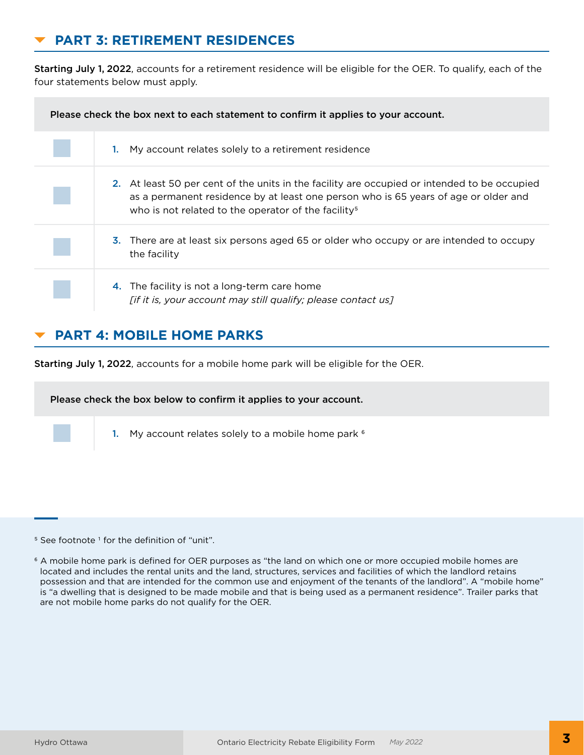# **PART 3: RETIREMENT RESIDENCES**

Starting July 1, 2022, accounts for a retirement residence will be eligible for the OER. To qualify, each of the four statements below must apply.

| Please check the box next to each statement to confirm it applies to your account. |                                                                                                                                                                                                                                                        |  |
|------------------------------------------------------------------------------------|--------------------------------------------------------------------------------------------------------------------------------------------------------------------------------------------------------------------------------------------------------|--|
|                                                                                    | My account relates solely to a retirement residence                                                                                                                                                                                                    |  |
|                                                                                    | 2. At least 50 per cent of the units in the facility are occupied or intended to be occupied<br>as a permanent residence by at least one person who is 65 years of age or older and<br>who is not related to the operator of the facility <sup>5</sup> |  |
|                                                                                    | 3. There are at least six persons aged 65 or older who occupy or are intended to occupy<br>the facility                                                                                                                                                |  |
|                                                                                    | 4. The facility is not a long-term care home<br>[if it is, your account may still qualify; please contact us]                                                                                                                                          |  |

### **PART 4: MOBILE HOME PARKS**

Starting July 1, 2022, accounts for a mobile home park will be eligible for the OER.

Please check the box below to confirm it applies to your account.

1. My account relates solely to a mobile home park <sup>6</sup>

<sup>5</sup> See footnote<sup>1</sup> for the definition of "unit".

<sup>6</sup> A mobile home park is defined for OER purposes as "the land on which one or more occupied mobile homes are located and includes the rental units and the land, structures, services and facilities of which the landlord retains possession and that are intended for the common use and enjoyment of the tenants of the landlord". A "mobile home" is "a dwelling that is designed to be made mobile and that is being used as a permanent residence". Trailer parks that are not mobile home parks do not qualify for the OER.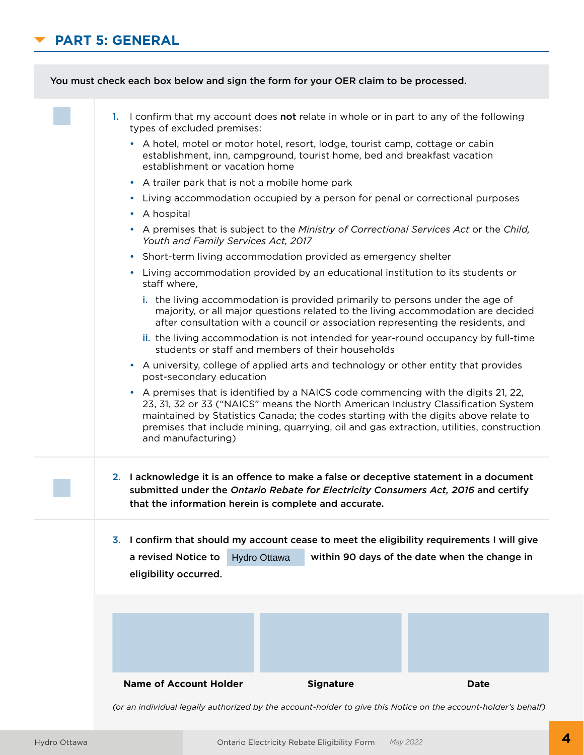# **PART 5: GENERAL**



*(or an individual legally authorized by the account-holder to give this Notice on the account-holder's behalf)*